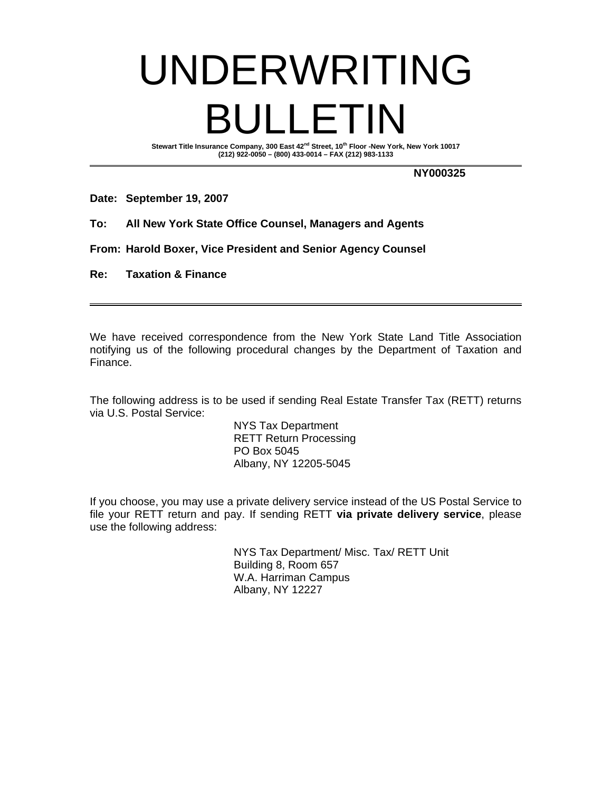## UNDERWRITING BULLETIN

Stewart Title Insurance Company, 300 East 42<sup>nd</sup> Street, 10<sup>th</sup> Floor -New York, New York 10017 **(212) 922-0050 – (800) 433-0014 – FAX (212) 983-1133** 

**NY000325** 

**Date: September 19, 2007** 

- **To: All New York State Office Counsel, Managers and Agents**
- **From: Harold Boxer, Vice President and Senior Agency Counsel**
- **Re: Taxation & Finance**

We have received correspondence from the New York State Land Title Association notifying us of the following procedural changes by the Department of Taxation and Finance.

The following address is to be used if sending Real Estate Transfer Tax (RETT) returns via U.S. Postal Service:

> NYS Tax Department RETT Return Processing PO Box 5045 Albany, NY 12205-5045

If you choose, you may use a private delivery service instead of the US Postal Service to file your RETT return and pay. If sending RETT **via private delivery service**, please use the following address:

> NYS Tax Department/ Misc. Tax/ RETT Unit Building 8, Room 657 W.A. Harriman Campus Albany, NY 12227